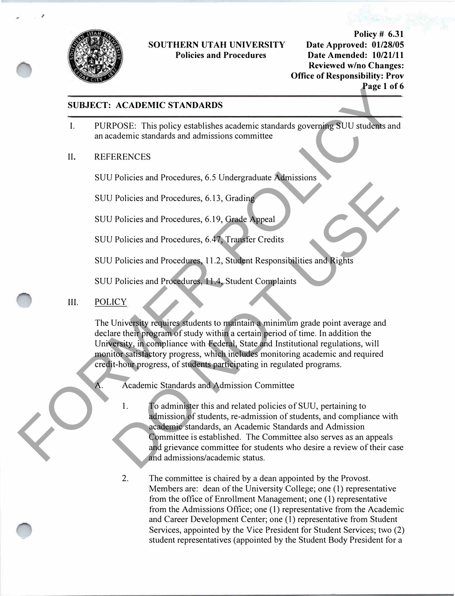

.,

### **SOUTHERN UTAH UNIVERSITY Policies and Procedures**

**Policy# 6.31 Date Approved: 01/28/05 Date Amended: 10/21/11 Reviewed w/no Changes: Office of Responsibility: Prov Page 1 of 6** 

## **SUBJECT: ACADEMIC STANDARDS**

- I. PURPOSE: This policy establishes academic standards governing SUU students and an academic standards and admissions committee
- II. REFERENCES

SUU Policies and Procedures, 6.5 Undergraduate Admissions

SUU Policies and Procedures, 6.13, Grading

SUU Policies and Procedures, 6.19, Grade Appeal

SUU Policies and Procedures, 6.47, Transfer Credits

SUU Policies and Procedures, 11.2, Student Responsibilities and Rights

SUU Policies and Procedures, 11.4, Student Complaints

#### III. POLICY

The University requires students to maintain a minimum grade point average and declare their program of study within a certain period of time. In addition the University, in compliance with Federal, State and Institutional regulations, will monitor satisfactory progress, which includes monitoring academic and required credit-hour progress, of students participating in regulated programs.

A. Academic Standards and Admission Committee

1. To administer this and related policies of SUU, pertaining to admission of students, re-admission of students, and compliance with academic standards, an Academic Standards and Admission Committee is established. The Committee also serves as an appeals and grievance committee for students who desire a review of their case and admissions/academic status. **EXERCITE ACADEMIC STANDARDS**<br>
1. PURPOSE: This policy establishes academic standards governing SUU students and<br>
an academic standards and admissions committee<br>
1. REFERENCES<br>
SUU Policies and Procedures, 6.51, Grading<br>
S Policies and Procedures, 6.13, Grading<br>
Policies and Procedures, 6.19, Grade Appeal<br>
Policies and Procedures, 6.47, Transfer Credits<br>
Policies and Procedures, 11.2, Student Responsibilities and Rights<br>
Policies and Procedu

> 2. The committee is chaired by a dean appointed by the Provost. Members are: dean of the University College; one (1) representative from the office of Enrollment Management; one ( 1) representative from the Admissions Office; one (1) representative from the Academic and Career Development Center; one (1) representative from Student Services, appointed by the Vice President for Student Services; two (2) student representatives (appointed by the Student Body President for a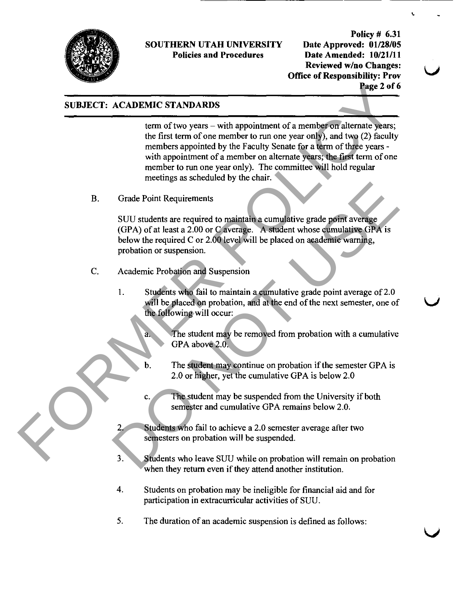

Policy # 6.31 Date Approved: 01/28/05 Date Amended: 10/21/11 Reviewed w/no Changes: **Office of Responsibility: Prov** Page 2 of 6

## SUBJECT: ACADEMIC STANDARDS

term of two years – with appointment of a member on alternate years; the first term of one member to run one year only), and two (2) faculty members appointed by the Faculty Senate for a term of three years with appointment of a member on alternate yeazs; the first term of one member to run one year only). The committee will hold regular meetings as scheduled by the chair. **EXERENCE:** A CADEMIC STANDARDS<br>
term of two years – with appointment of a member on ditemate years,<br>
the first term of one member to mnone year only), and two (2) faculty<br>
members appointed to the Faculty Stands to allow

B. Grade Point Requirements

SUU students are required to maintain a cumulative grade point average (GPA) of at least a 2.00 or C average. A student whose cumulative GPA is below the required C or 2.00 level will be placed on academic warning, probation or suspension. Grade Point Requirements<br>
SUU students are required to maintain a cumulative grade point average<br>
(GPA) of at least a 2.00 or C average. A student whose cumulative GPA is<br>
below the required C or 2.00 level will be placed

- C. Academic Probation and Suspension
	- 1. Students who fail to maintain a cumulative grade point average of 2.0 will be placed on probation, and at the end of the next semester, one of the following will occur:

The student may be removed from probation with a cumulative GPA above 2.0.

- b. The student may continue on probation if the semester GPA is 2.0 or higher, yet the cumulative GPA is below 2.0
- c. The student may be suspended from the University if both semester and cumulative GPA remains below 2.0.
- Students who fail to achieve a 2.0 semester average after two semesters on probation will be suspended.
- 3. Students who leave SUU while on probation will remain on probation when they return even if they attend another institution.
- 4. Students on probation may be ineligible for financial aid and for participation in extracurriculaz activities of SUU.
- 5. The duration of an academic suspension is defined as follows: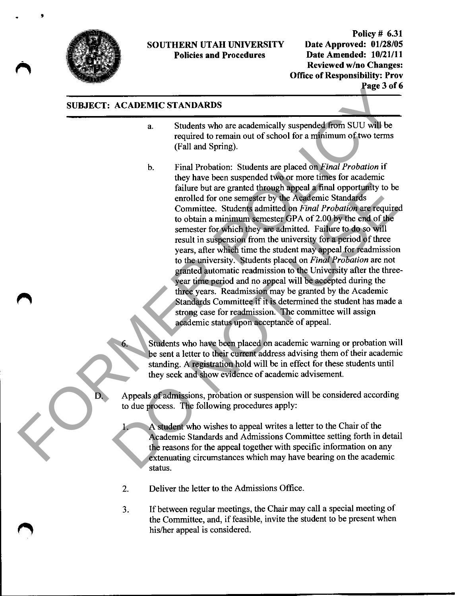

Policy # 6.31 Date Approved: 01/28/05 Date Amended: 10/21/11 Reviewed w/no Changes: Office of Responsibility: Prov Page 3 of 6

#### SUBJECT: ACADEMIC STANDARDS

- a. Students who are academically suspended from SUU will be required to remain out of school for a minimum of two terms (Fall and Spring).
- b. Final Probation: Students are placed on Final Probation if they have been suspended two or more times for academic failure but are granted through appeal a final opportunity to be enrolled for one semester by the Academic Standards Committee. Students admitted on Final Probation are required to obtain a minimum semester GPA of 2.00 by the end of the semester for which they are admitted. Failure to do so will result in suspension from the university for a period of three years, after which time the student may appeal for readmission to the university. Students placed on Final Probation are not granted automatic readmission to the University after the threeyear time period and no appeal will be accepted during the three yeazs. Readmission may be granted by the Academic Standards Committee if it is determined the student has made a strong case for readmission. The committee will assign academic status upon acceptance of appeal. **SUBJECT:** ACADEMIC STANDARDS<br>
a Students who are academically suspended from SUU will be<br>
required to remain out of school for a minimum of two tems<br>
(Fall and Spring).<br>
b. Final Probabican: Students are placed on *Final* failure but are granted through appeal a final opportunity to be<br>emoiled for one sensets by the Areademic Standards<br>Committee. Students admitted on *Final Probation* are require<br>to obtain a minimum semester GPA of 2.00 by
	- Students who have been placed on academic warning or probation will be sent a letter to their current address advising them of their academic standing. A registration hold will be in effect for these students until they seek and show evidence of academic advisement.
	- Appeals of admissions, probation or suspension will be considered according to due process. The following procedures apply:
		- 1. A student who wishes to appeal writes a letter to the Chair of the Academic Standards and Admissions Committee setting forth in detail the reasons for the appeal together with specific information on any extenuating circumstances which may have bearing on the academic status.
		- 2. Deliver the letter to the Admissions Office.
		- 3. If between regular meetings, the Chair may call a special meeting of the Committee, and, if feasible, invite the student to be present when his/her appeal is considered.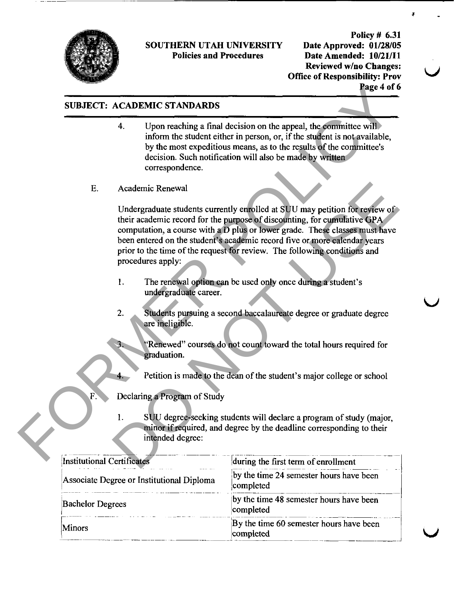

Policy # 6.31 Date Approved: 01/28/05 Date Amended: 10/21/11 Reviewed w/no Changes: Office of Responsibility: Prov Page 4 of 6

## SUBJECT: ACADEMIC STANDARDS

- 4. Upon reaching a final decision on the appeal, the committee will inform the student either in person, or, if the student is not available, by the most expeditious means, as to the results of the committee's decision. Such notification will also be made by written correspondence.
- E. Academic Renewal

Undergraduate students currently enrolled at SUU may petition for review of their academic record for the purpose of discounting, for cumulative GPA computation, a course with a D plus or lower grade. These classes must have been entered on the student's academic record five or more calendar years prior to the time of the request for review. The following conditions and procedures apply: **SUBJECT:** ACADEMIC STANDARDS<br>
4. Upon reaching a final decision on the appeal, the committee will<br>
inform the student either in person, or, if the student is not available,<br>
by the most expeditions were as to be reached Academic Renewal<br>
Undergraduate students currently enrolled at SUU may petition for review of<br>
their academic record for the purpose of discounting, for cumulative GPA<br>
computation, a course with a D plus or lower grade. T

- 1. The renewal option can be used only once during a student's undergraduate career.
- 2. Students pursuing a second baccalaureate degree or graduate degree aze ineligible.

"Renewed" courses do not count toward the total hours required for graduation.

Petition is made to the dean of the student's major college or school

- Declaring a Program of Study
	- 1. SUU degree-seeking students will declaze a program of study (major, minor if required, and degree by the deadline corresponding to their intended degree:

| Institutional Certificates                | during the first term of enrollment                  |
|-------------------------------------------|------------------------------------------------------|
| Associate Degree or Institutional Diploma | by the time 24 semester hours have been<br>completed |
| <b>Bachelor Degrees</b>                   | by the time 48 semester hours have been<br>completed |
| <b>Minors</b>                             | By the time 60 semester hours have been<br>completed |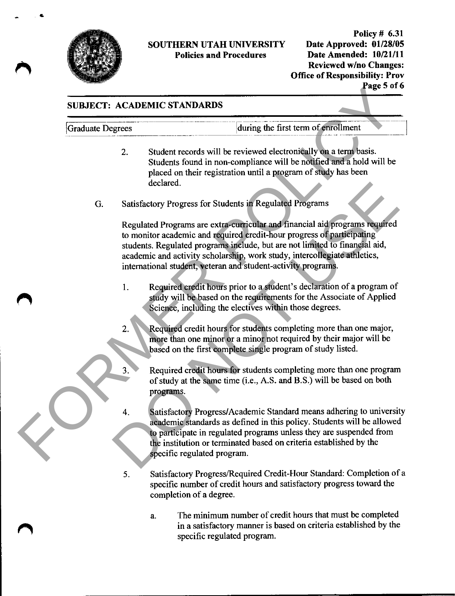

Policy # 6.31 Date Approved: 01/28/05 Date Amended: 10/21/11 Reviewed w/no Changes: Office of Responsibility: Prov Page 5 of 6

# SUBJECT: ACADEMIC STANDARDS

Graduate Degrees during the first term of enrollment

- 2. Student records will be reviewed electronically on a term basis. Students found in non-compliance will be notified and a hold will be placed on their registration until a program of study has been declared.
- G. Satisfactory Progress for Students in Regulated Programs

Regulated Programs are extra-curricular and financial aid programs required to monitor academic and required credit-hour progress of participating students. Regulated programs include, but aze not limited to financial aid, academic and activity scholazship, work study, intercollegiate athletics, international student, veteran and student-activity programs. SUBJECT: ACADEMIC STANDARDS<br>
FORGINE TRANDARDS<br>
FORGINE TRANDARDS<br>
2. Student records will be reviewed electrometally can at error basis.<br>
Students found in non-compliance will be notified and a hold will be plead on their Statisfactory Progress for Students in Regulated Programs<br>
Regulated Programs are extra-curricular and financial aid programs required<br>
to monitor academic and equired credit-hour progress of participating<br>
students. Regul

- 1. Required credit hours prior to a student's declaration of a program of study will be based on the requirements for the Associate of Applied Science, including the electives within those degrees.
- 2. Required credit hours for students completing more than one major, more than one minor or a minor not required by their major will be based on the first complete single program of study listed.
- 3. Required credit hours for students completing more than one program of study at the same time (i.e., A.S. and B.S.) will be based on both programs.
- 4. Satisfactory Progress/Academic Standard means adhering to university academic standards as defined in this policy. Students will be allowed to participate in regulated programs unless they are suspended from the institution or terminated based on criteria established by the specific regulated program.
- 5. Satisfactory Progress/Required Credit-Hour Standard: Completion of a specific number of credit hours and satisfactory progress toward the completion of a degree.
	- a. The minimum number of credit hours that must be completed in a satisfactory manner is based on criteria established by the specific regulated program.